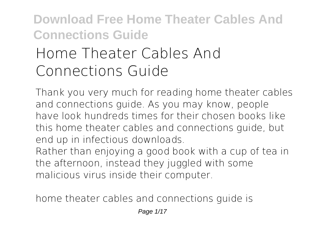# **Home Theater Cables And Connections Guide**

Thank you very much for reading **home theater cables and connections guide**. As you may know, people have look hundreds times for their chosen books like this home theater cables and connections guide, but end up in infectious downloads.

Rather than enjoying a good book with a cup of tea in the afternoon, instead they juggled with some malicious virus inside their computer.

home theater cables and connections guide is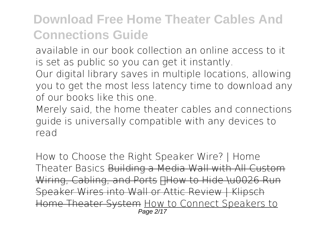available in our book collection an online access to it is set as public so you can get it instantly.

Our digital library saves in multiple locations, allowing you to get the most less latency time to download any of our books like this one.

Merely said, the home theater cables and connections guide is universally compatible with any devices to read

*How to Choose the Right Speaker Wire? | Home Theater Basics* Building a Media Wall with All Custom Wiring, Cabling, and Ports **HHow to Hide \u0026 Run** Speaker Wires into Wall or Attic Review | Klipsch Home Theater System How to Connect Speakers to Page 2/17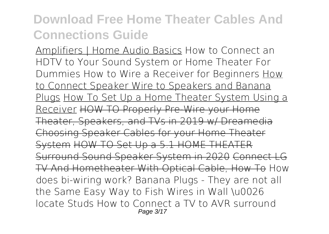Amplifiers | Home Audio Basics How to Connect an HDTV to Your Sound System or Home Theater For Dummies How to Wire a Receiver for Beginners How to Connect Speaker Wire to Speakers and Banana Plugs How To Set Up a Home Theater System Using a Receiver HOW TO Properly Pre-Wire your Home Theater, Speakers, and TVs in 2019 w/ Dreamedia Choosing Speaker Cables for your Home Theater System HOW TO Set Up a 5.1 HOME THEATER Surround Sound Speaker System in 2020 Connect LG TV And Hometheater With Optical Cable, How To *How does bi-wiring work? Banana Plugs - They are not all the Same* **Easy Way to Fish Wires in Wall \u0026 locate Studs** *How to Connect a TV to AVR surround* Page 3/17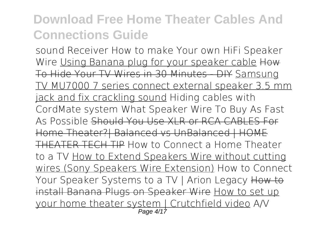*sound Receiver* **How to make Your own HiFi Speaker Wire** Using Banana plug for your speaker cable How To Hide Your TV Wires in 30 Minutes - DIY Samsung TV MU7000 7 series connect external speaker 3.5 mm jack and fix crackling sound *Hiding cables with CordMate system What Speaker Wire To Buy As Fast As Possible* Should You Use XLR or RCA CABLES For Home Theater?| Balanced vs UnBalanced | HOME THEATER TECH TIP **How to Connect a Home Theater to a TV** How to Extend Speakers Wire without cutting wires (Sony Speakers Wire Extension) *How to Connect Your Speaker Systems to a TV | Arion Legacy How to* install Banana Plugs on Speaker Wire How to set up your home theater system | Crutchfield video **A/V** Page 4/17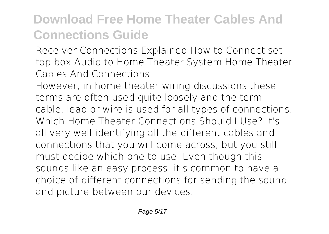**Receiver Connections Explained How to Connect set top box Audio to Home Theater System** Home Theater Cables And Connections

However, in home theater wiring discussions these terms are often used quite loosely and the term cable, lead or wire is used for all types of connections. Which Home Theater Connections Should I Use? It's all very well identifying all the different cables and connections that you will come across, but you still must decide which one to use. Even though this sounds like an easy process, it's common to have a choice of different connections for sending the sound and picture between our devices.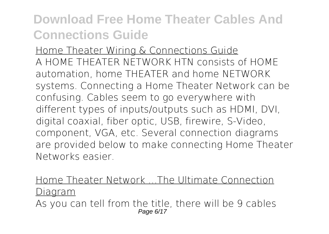Home Theater Wiring & Connections Guide A HOME THEATER NETWORK HTN consists of HOME automation, home THEATER and home NETWORK systems. Connecting a Home Theater Network can be confusing. Cables seem to go everywhere with different types of inputs/outputs such as HDMI, DVI, digital coaxial, fiber optic, USB, firewire, S-Video, component, VGA, etc. Several connection diagrams are provided below to make connecting Home Theater Networks easier.

#### Home Theater Network ...The Ultimate Connection Diagram

As you can tell from the title, there will be 9 cables Page 6/17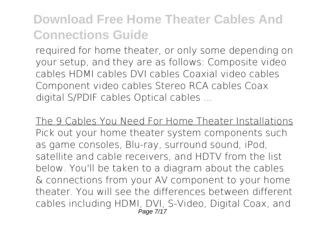required for home theater, or only some depending on your setup, and they are as follows: Composite video cables HDMI cables DVI cables Coaxial video cables Component video cables Stereo RCA cables Coax digital S/PDIF cables Optical cables ...

The 9 Cables You Need For Home Theater Installations Pick out your home theater system components such as game consoles, Blu-ray, surround sound, iPod, satellite and cable receivers, and HDTV from the list below. You'll be taken to a diagram about the cables & connections from your AV component to your home theater. You will see the differences between different cables including HDMI, DVI, S-Video, Digital Coax, and Page 7/17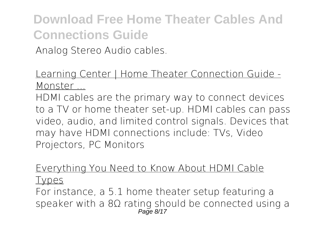Analog Stereo Audio cables.

#### Learning Center | Home Theater Connection Guide - Monster ...

HDMI cables are the primary way to connect devices to a TV or home theater set-up. HDMI cables can pass video, audio, and limited control signals. Devices that may have HDMI connections include: TVs, Video Projectors, PC Monitors

### Everything You Need to Know About HDMI Cable

Types

For instance, a 5.1 home theater setup featuring a speaker with a 8Ω rating should be connected using a Page 8/17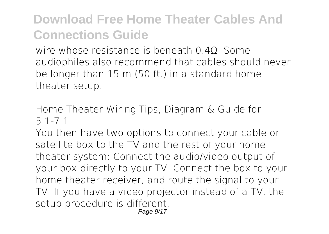wire whose resistance is beneath 0.40. Some audiophiles also recommend that cables should never be longer than 15 m (50 ft.) in a standard home theater setup.

#### Home Theater Wiring Tips, Diagram & Guide for 5.1-7.1 ...

You then have two options to connect your cable or satellite box to the TV and the rest of your home theater system: Connect the audio/video output of your box directly to your TV. Connect the box to your home theater receiver, and route the signal to your TV. If you have a video projector instead of a TV, the setup procedure is different.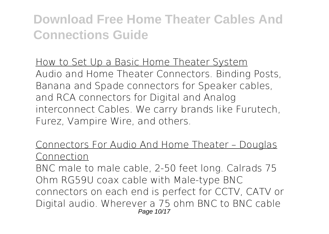How to Set Up a Basic Home Theater System Audio and Home Theater Connectors. Binding Posts, Banana and Spade connectors for Speaker cables, and RCA connectors for Digital and Analog interconnect Cables. We carry brands like Furutech, Furez, Vampire Wire, and others.

#### Connectors For Audio And Home Theater – Douglas Connection

BNC male to male cable, 2-50 feet long. Calrads 75 Ohm RG59U coax cable with Male-type BNC connectors on each end is perfect for CCTV, CATV or Digital audio. Wherever a 75 ohm BNC to BNC cable Page 10/17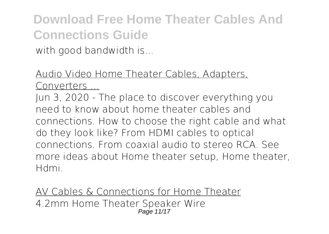with good bandwidth is...

Audio Video Home Theater Cables, Adapters, Converters ...

Jun 3, 2020 - The place to discover everything you need to know about home theater cables and connections. How to choose the right cable and what do they look like? From HDMI cables to optical connections. From coaxial audio to stereo RCA. See more ideas about Home theater setup, Home theater, Hdmi.

AV Cables & Connections for Home Theater 4.2mm Home Theater Speaker Wire Page 11/17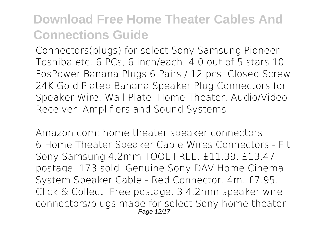Connectors(plugs) for select Sony Samsung Pioneer Toshiba etc. 6 PCs, 6 inch/each; 4.0 out of 5 stars 10 FosPower Banana Plugs 6 Pairs / 12 pcs, Closed Screw 24K Gold Plated Banana Speaker Plug Connectors for Speaker Wire, Wall Plate, Home Theater, Audio/Video Receiver, Amplifiers and Sound Systems

Amazon.com: home theater speaker connectors 6 Home Theater Speaker Cable Wires Connectors - Fit Sony Samsung 4.2mm TOOL FREE. £11.39. £13.47 postage. 173 sold. Genuine Sony DAV Home Cinema System Speaker Cable - Red Connector. 4m. £7.95. Click & Collect. Free postage. 3 4.2mm speaker wire connectors/plugs made for select Sony home theater Page 12/17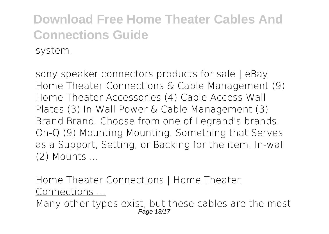sony speaker connectors products for sale | eBay Home Theater Connections & Cable Management (9) Home Theater Accessories (4) Cable Access Wall Plates (3) In-Wall Power & Cable Management (3) Brand Brand. Choose from one of Legrand's brands. On-Q (9) Mounting Mounting. Something that Serves as a Support, Setting, or Backing for the item. In-wall (2) Mounts ...

Home Theater Connections | Home Theater Connections ...

Many other types exist, but these cables are the most Page 13/17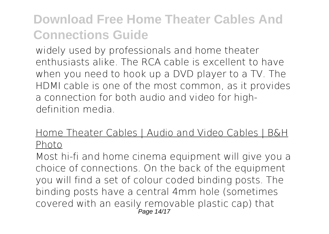widely used by professionals and home theater enthusiasts alike. The RCA cable is excellent to have when you need to hook up a DVD player to a TV. The HDMI cable is one of the most common, as it provides a connection for both audio and video for highdefinition media.

#### Home Theater Cables | Audio and Video Cables | B&H Photo

Most hi-fi and home cinema equipment will give you a choice of connections. On the back of the equipment you will find a set of colour coded binding posts. The binding posts have a central 4mm hole (sometimes covered with an easily removable plastic cap) that Page 14/17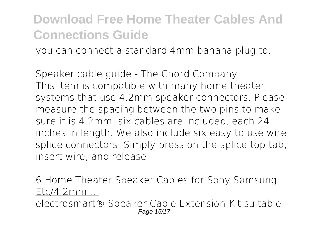you can connect a standard 4mm banana plug to.

Speaker cable guide - The Chord Company This item is compatible with many home theater systems that use 4.2mm speaker connectors. Please measure the spacing between the two pins to make sure it is 4.2mm. six cables are included, each 24 inches in length. We also include six easy to use wire splice connectors. Simply press on the splice top tab, insert wire, and release.

6 Home Theater Speaker Cables for Sony Samsung  $F$ t $c/4$ .2mm electrosmart® Speaker Cable Extension Kit suitable Page 15/17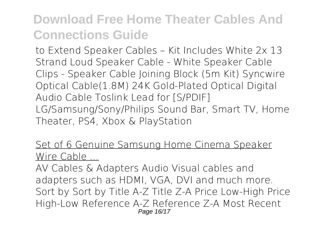to Extend Speaker Cables – Kit Includes White 2x 13 Strand Loud Speaker Cable - White Speaker Cable Clips - Speaker Cable Joining Block (5m Kit) Syncwire Optical Cable(1.8M) 24K Gold-Plated Optical Digital Audio Cable Toslink Lead for [S/PDIF] LG/Samsung/Sony/Philips Sound Bar, Smart TV, Home Theater, PS4, Xbox & PlayStation

Set of 6 Genuine Samsung Home Cinema Speaker Wire Cable ...

AV Cables & Adapters Audio Visual cables and adapters such as HDMI, VGA, DVI and much more. Sort by Sort by Title A-Z Title Z-A Price Low-High Price High-Low Reference A-Z Reference Z-A Most Recent Page 16/17